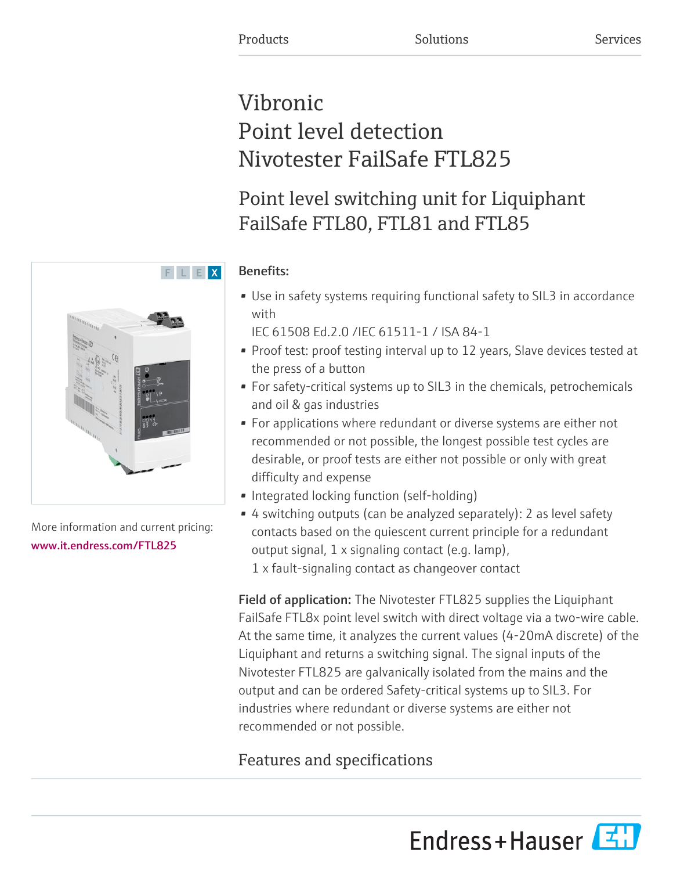# Vibronic Point level detection Nivotester FailSafe FTL825

Point level switching unit for Liquiphant FailSafe FTL80, FTL81 and FTL85

### Benefits:

- Use in safety systems requiring functional safety to SIL3 in accordance with
	- IEC 61508 Ed.2.0 /IEC 61511-1 / ISA 84-1
- Proof test: proof testing interval up to 12 years, Slave devices tested at the press of a button
- For safety-critical systems up to SIL3 in the chemicals, petrochemicals and oil & gas industries
- For applications where redundant or diverse systems are either not recommended or not possible, the longest possible test cycles are desirable, or proof tests are either not possible or only with great difficulty and expense
- Integrated locking function (self-holding)
- 4 switching outputs (can be analyzed separately): 2 as level safety contacts based on the quiescent current principle for a redundant output signal, 1 x signaling contact (e.g. lamp),
	- 1 x fault-signaling contact as changeover contact

Field of application: The Nivotester FTL825 supplies the Liquiphant FailSafe FTL8x point level switch with direct voltage via a two-wire cable. At the same time, it analyzes the current values (4-20mA discrete) of the Liquiphant and returns a switching signal. The signal inputs of the Nivotester FTL825 are galvanically isolated from the mains and the output and can be ordered Safety-critical systems up to SIL3. For industries where redundant or diverse systems are either not recommended or not possible.

## Features and specifications

Endress+Hauser



More information and current pricing: [www.it.endress.com/FTL825](https://www.it.endress.com/FTL825)